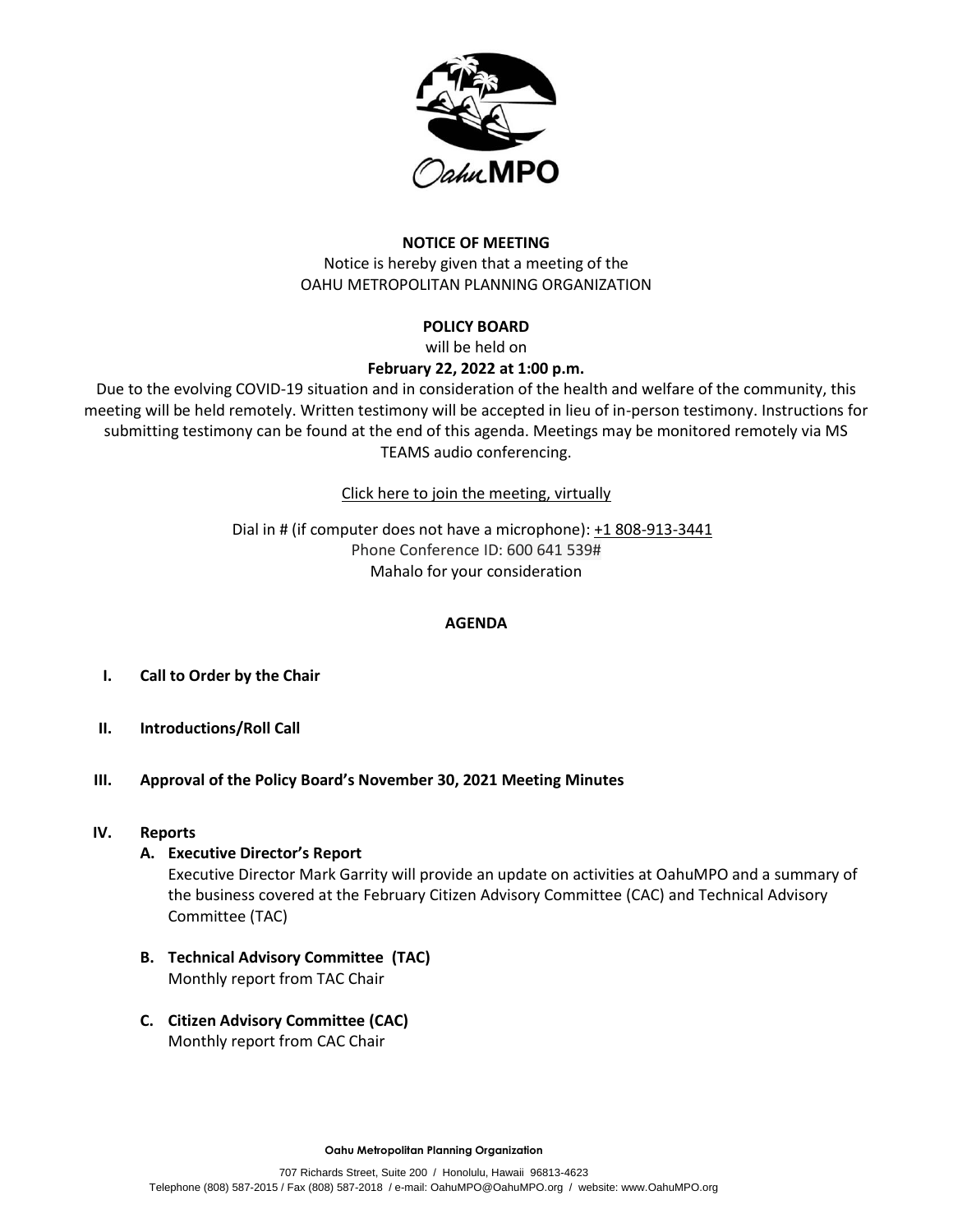

# **NOTICE OF MEETING**

Notice is hereby given that a meeting of the OAHU METROPOLITAN PLANNING ORGANIZATION

# **POLICY BOARD**

will be held on

# **February 22, 2022 at 1:00 p.m.**

Due to the evolving COVID-19 situation and in consideration of the health and welfare of the community, this meeting will be held remotely. Written testimony will be accepted in lieu of in-person testimony. Instructions for submitting testimony can be found at the end of this agenda. Meetings may be monitored remotely via MS TEAMS audio conferencing.

[Click here to join the meeting, virtually](https://teams.microsoft.com/l/meetup-join/19%3ameeting_NjU0ZjNlZTAtYzA5Yy00OWJlLTkwZTMtNTczNzIzNDUxOGNk%40thread.v2/0?context=%7b%22Tid%22%3a%2217291f7f-355b-4dd1-bac5-d71ce58243c3%22%2c%22Oid%22%3a%2280434199-fbf3-4d59-bc85-42daa967f36a%22%7d)

Dial in # (if computer does not have a microphone): [+1 808-913-3441](tel:+1%20808-913-3441,,762590393) Phone Conference ID: 600 641 539# Mahalo for your consideration

### **AGENDA**

- **I. Call to Order by the Chair**
- **II. Introductions/Roll Call**
- **III. Approval of the Policy Board's November 30, 2021 Meeting Minutes**

### **IV. Reports**

# **A. Executive Director's Report**

Executive Director Mark Garrity will provide an update on activities at OahuMPO and a summary of the business covered at the February Citizen Advisory Committee (CAC) and Technical Advisory Committee (TAC)

- **B. Technical Advisory Committee (TAC)** Monthly report from TAC Chair
- **C. Citizen Advisory Committee (CAC)** Monthly report from CAC Chair

**Oahu Metropolitan Planning Organization**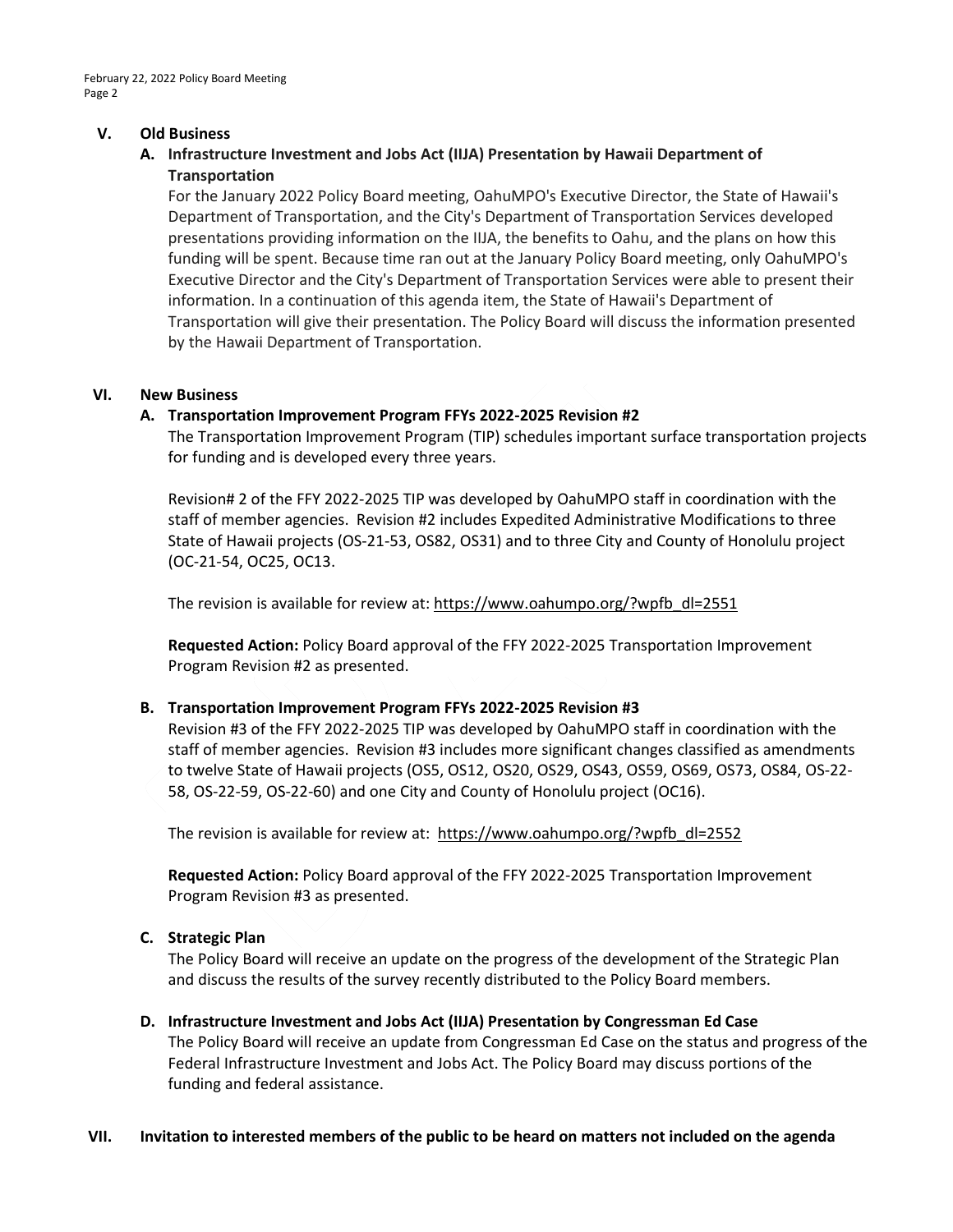#### **V. Old Business**

# **A. Infrastructure Investment and Jobs Act (IIJA) Presentation by Hawaii Department of Transportation**

For the January 2022 Policy Board meeting, OahuMPO's Executive Director, the State of Hawaii's Department of Transportation, and the City's Department of Transportation Services developed presentations providing information on the IIJA, the benefits to Oahu, and the plans on how this funding will be spent. Because time ran out at the January Policy Board meeting, only OahuMPO's Executive Director and the City's Department of Transportation Services were able to present their information. In a continuation of this agenda item, the State of Hawaii's Department of Transportation will give their presentation. The Policy Board will discuss the information presented by the Hawaii Department of Transportation.

#### **VI. New Business**

### **A. Transportation Improvement Program FFYs 2022-2025 Revision #2**

The Transportation Improvement Program (TIP) schedules important surface transportation projects for funding and is developed every three years.

Revision# 2 of the FFY 2022-2025 TIP was developed by OahuMPO staff in coordination with the staff of member agencies. Revision #2 includes Expedited Administrative Modifications to three State of Hawaii projects (OS-21-53, OS82, OS31) and to three City and County of Honolulu project (OC-21-54, OC25, OC13.

The revision is available for review at: [https://www.oahumpo.org/?wpfb\\_dl=2551](https://www.oahumpo.org/?wpfb_dl=2551)

**Requested Action:** Policy Board approval of the FFY 2022-2025 Transportation Improvement Program Revision #2 as presented.

### **B. Transportation Improvement Program FFYs 2022-2025 Revision #3**

Revision #3 of the FFY 2022-2025 TIP was developed by OahuMPO staff in coordination with the staff of member agencies. Revision #3 includes more significant changes classified as amendments to twelve State of Hawaii projects (OS5, OS12, OS20, OS29, OS43, OS59, OS69, OS73, OS84, OS-22- 58, OS-22-59, OS-22-60) and one City and County of Honolulu project (OC16).

The revision is available for review at: [https://www.oahumpo.org/?wpfb\\_dl=2552](https://www.oahumpo.org/?wpfb_dl=2552)

**Requested Action:** Policy Board approval of the FFY 2022-2025 Transportation Improvement Program Revision #3 as presented.

### **C. Strategic Plan**

The Policy Board will receive an update on the progress of the development of the Strategic Plan and discuss the results of the survey recently distributed to the Policy Board members.

### **D. Infrastructure Investment and Jobs Act (IIJA) Presentation by Congressman Ed Case**

The Policy Board will receive an update from Congressman Ed Case on the status and progress of the Federal Infrastructure Investment and Jobs Act. The Policy Board may discuss portions of the funding and federal assistance.

#### **VII. Invitation to interested members of the public to be heard on matters not included on the agenda**